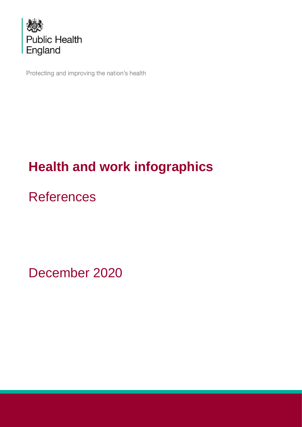

Protecting and improving the nation's health

# **Health and work infographics**

# **References**

December 2020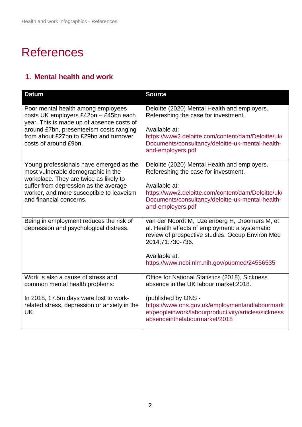# **References**

#### **1. Mental health and work**

| <b>Datum</b>                                                                                  | <b>Source</b>                                                                                                                                                                                                                              |
|-----------------------------------------------------------------------------------------------|--------------------------------------------------------------------------------------------------------------------------------------------------------------------------------------------------------------------------------------------|
| Poor mental health among employees                                                            | Deloitte (2020) Mental Health and employers.                                                                                                                                                                                               |
| costs UK employers £42bn - £45bn each                                                         | Refereshing the case for investment.                                                                                                                                                                                                       |
| year. This is made up of absence costs of                                                     | Available at:                                                                                                                                                                                                                              |
| around £7bn, presenteeism costs ranging                                                       | https://www2.deloitte.com/content/dam/Deloitte/uk/                                                                                                                                                                                         |
| from about £27bn to £29bn and turnover                                                        | Documents/consultancy/deloitte-uk-mental-health-                                                                                                                                                                                           |
| costs of around £9bn.                                                                         | and-employers.pdf                                                                                                                                                                                                                          |
| Young professionals have emerged as the                                                       | Deloitte (2020) Mental Health and employers.                                                                                                                                                                                               |
| most vulnerable demographic in the                                                            | Refereshing the case for investment.                                                                                                                                                                                                       |
| workplace. They are twice as likely to                                                        | Available at:                                                                                                                                                                                                                              |
| suffer from depression as the average                                                         | https://www2.deloitte.com/content/dam/Deloitte/uk/                                                                                                                                                                                         |
| worker, and more susceptible to leaveism                                                      | Documents/consultancy/deloitte-uk-mental-health-                                                                                                                                                                                           |
| and financial concerns.                                                                       | and-employers.pdf                                                                                                                                                                                                                          |
| Being in employment reduces the risk of<br>depression and psychological distress.             | van der Noordt M, IJzelenberg H, Droomers M, et<br>al. Health effects of employment: a systematic<br>review of prospective studies. Occup Environ Med<br>2014;71:730-736.<br>Available at:<br>https://www.ncbi.nlm.nih.gov/pubmed/24556535 |
| Work is also a cause of stress and                                                            | Office for National Statistics (2018), Sickness                                                                                                                                                                                            |
| common mental health problems:                                                                | absence in the UK labour market: 2018.                                                                                                                                                                                                     |
| In 2018, 17.5m days were lost to work-<br>related stress, depression or anxiety in the<br>UK. | (published by ONS -<br>https://www.ons.gov.uk/employmentandlabourmark<br>et/peopleinwork/labourproductivity/articles/sickness<br>absenceinthelabourmarket/2018                                                                             |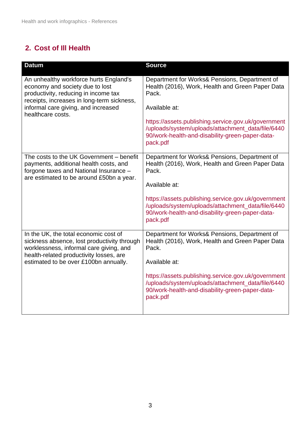#### **2. Cost of Ill Health**

| <b>Datum</b>                                                                                                                                                                                                                | <b>Source</b>                                                                                                                                                                                                                                                                                          |
|-----------------------------------------------------------------------------------------------------------------------------------------------------------------------------------------------------------------------------|--------------------------------------------------------------------------------------------------------------------------------------------------------------------------------------------------------------------------------------------------------------------------------------------------------|
| An unhealthy workforce hurts England's<br>economy and society due to lost<br>productivity, reducing in income tax<br>receipts, increases in long-term sickness,<br>informal care giving, and increased<br>healthcare costs. | Department for Works& Pensions, Department of<br>Health (2016), Work, Health and Green Paper Data<br>Pack.<br>Available at:<br>https://assets.publishing.service.gov.uk/government<br>/uploads/system/uploads/attachment_data/file/6440<br>90/work-health-and-disability-green-paper-data-<br>pack.pdf |
| The costs to the UK Government - benefit<br>payments, additional health costs, and<br>forgone taxes and National Insurance -<br>are estimated to be around £50bn a year.                                                    | Department for Works& Pensions, Department of<br>Health (2016), Work, Health and Green Paper Data<br>Pack.<br>Available at:<br>https://assets.publishing.service.gov.uk/government<br>/uploads/system/uploads/attachment_data/file/6440<br>90/work-health-and-disability-green-paper-data-<br>pack.pdf |
| In the UK, the total economic cost of<br>sickness absence, lost productivity through<br>worklessness, informal care giving, and<br>health-related productivity losses, are<br>estimated to be over £100bn annually.         | Department for Works& Pensions, Department of<br>Health (2016), Work, Health and Green Paper Data<br>Pack.<br>Available at:<br>https://assets.publishing.service.gov.uk/government<br>/uploads/system/uploads/attachment_data/file/6440<br>90/work-health-and-disability-green-paper-data-<br>pack.pdf |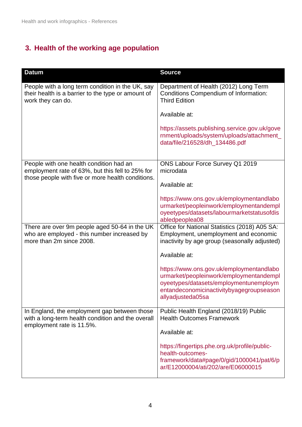# **3. Health of the working age population**

| <b>Datum</b>                                                                                                                | <b>Source</b>                                                                                                                                                                                  |
|-----------------------------------------------------------------------------------------------------------------------------|------------------------------------------------------------------------------------------------------------------------------------------------------------------------------------------------|
| People with a long term condition in the UK, say<br>their health is a barrier to the type or amount of<br>work they can do. | Department of Health (2012) Long Term<br><b>Conditions Compendium of Information:</b><br><b>Third Edition</b>                                                                                  |
|                                                                                                                             | Available at:                                                                                                                                                                                  |
|                                                                                                                             | https://assets.publishing.service.gov.uk/gove<br>rnment/uploads/system/uploads/attachment<br>data/file/216528/dh_134486.pdf                                                                    |
| People with one health condition had an                                                                                     | ONS Labour Force Survey Q1 2019                                                                                                                                                                |
| employment rate of 63%, but this fell to 25% for<br>those people with five or more health conditions.                       | microdata                                                                                                                                                                                      |
|                                                                                                                             | Available at:                                                                                                                                                                                  |
|                                                                                                                             | https://www.ons.gov.uk/employmentandlabo<br>urmarket/peopleinwork/employmentandempl<br>oyeetypes/datasets/labourmarketstatusofdis<br>abledpeoplea08                                            |
| There are over 9m people aged 50-64 in the UK<br>who are employed - this number increased by<br>more than 2m since 2008.    | Office for National Statistics (2018) A05 SA:<br>Employment, unemployment and economic<br>inactivity by age group (seasonally adjusted)                                                        |
|                                                                                                                             | Available at:                                                                                                                                                                                  |
|                                                                                                                             | https://www.ons.gov.uk/employmentandlabo<br>urmarket/peopleinwork/employmentandempl<br>oyeetypes/datasets/employmentunemploym<br>entandeconomicinactivitybyagegroupseason<br>allyadjusteda05sa |
| In England, the employment gap between those<br>with a long-term health condition and the overall                           | Public Health England (2018/19) Public<br><b>Health Outcomes Framework</b>                                                                                                                     |
| employment rate is 11.5%.                                                                                                   | Available at:                                                                                                                                                                                  |
|                                                                                                                             | https://fingertips.phe.org.uk/profile/public-<br>health-outcomes-<br>framework/data#page/0/gid/1000041/pat/6/p<br>ar/E12000004/ati/202/are/E06000015                                           |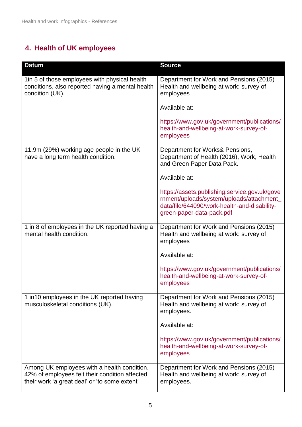### **4. Health of UK employees**

| <b>Datum</b>                                                                                                                                   | <b>Source</b>                                                                                                                                                           |
|------------------------------------------------------------------------------------------------------------------------------------------------|-------------------------------------------------------------------------------------------------------------------------------------------------------------------------|
| 1in 5 of those employees with physical health<br>conditions, also reported having a mental health<br>condition (UK).                           | Department for Work and Pensions (2015)<br>Health and wellbeing at work: survey of<br>employees                                                                         |
|                                                                                                                                                | Available at:                                                                                                                                                           |
|                                                                                                                                                | https://www.gov.uk/government/publications/<br>health-and-wellbeing-at-work-survey-of-<br>employees                                                                     |
| 11.9m (29%) working age people in the UK<br>have a long term health condition.                                                                 | Department for Works& Pensions,<br>Department of Health (2016), Work, Health<br>and Green Paper Data Pack.                                                              |
|                                                                                                                                                | Available at:                                                                                                                                                           |
|                                                                                                                                                | https://assets.publishing.service.gov.uk/gove<br>rnment/uploads/system/uploads/attachment_<br>data/file/644090/work-health-and-disability-<br>green-paper-data-pack.pdf |
| 1 in 8 of employees in the UK reported having a<br>mental health condition.                                                                    | Department for Work and Pensions (2015)<br>Health and wellbeing at work: survey of<br>employees                                                                         |
|                                                                                                                                                | Available at:                                                                                                                                                           |
|                                                                                                                                                | https://www.gov.uk/government/publications/<br>health-and-wellbeing-at-work-survey-of-<br>employees                                                                     |
| 1 in 10 employees in the UK reported having<br>musculoskeletal conditions (UK).                                                                | Department for Work and Pensions (2015)<br>Health and wellbeing at work: survey of<br>employees.                                                                        |
|                                                                                                                                                | Available at:                                                                                                                                                           |
|                                                                                                                                                | https://www.gov.uk/government/publications/<br>health-and-wellbeing-at-work-survey-of-<br>employees                                                                     |
| Among UK employees with a health condition,<br>42% of employees felt their condition affected<br>their work 'a great deal' or 'to some extent' | Department for Work and Pensions (2015)<br>Health and wellbeing at work: survey of<br>employees.                                                                        |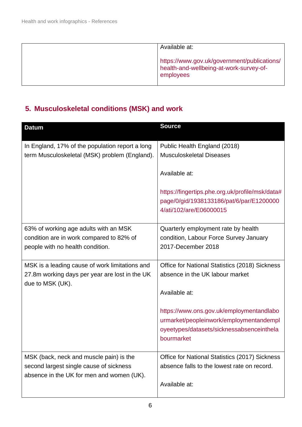| Available at:                                                                                       |
|-----------------------------------------------------------------------------------------------------|
| https://www.gov.uk/government/publications/<br>health-and-wellbeing-at-work-survey-of-<br>employees |

# **5. Musculoskeletal conditions (MSK) and work**

| <b>Datum</b>                                                                         | <b>Source</b>                                                                       |
|--------------------------------------------------------------------------------------|-------------------------------------------------------------------------------------|
| In England, 17% of the population report a long                                      | Public Health England (2018)                                                        |
| term Musculoskeletal (MSK) problem (England).                                        | <b>Musculoskeletal Diseases</b>                                                     |
|                                                                                      | Available at:                                                                       |
|                                                                                      | https://fingertips.phe.org.uk/profile/msk/data#                                     |
|                                                                                      | page/0/gid/1938133186/pat/6/par/E1200000                                            |
|                                                                                      | 4/ati/102/are/E06000015                                                             |
| 63% of working age adults with an MSK                                                | Quarterly employment rate by health                                                 |
| condition are in work compared to 82% of                                             | condition, Labour Force Survey January                                              |
| people with no health condition.                                                     | 2017-December 2018                                                                  |
| MSK is a leading cause of work limitations and                                       | Office for National Statistics (2018) Sickness                                      |
| 27.8m working days per year are lost in the UK<br>due to MSK (UK).                   | absence in the UK labour market                                                     |
|                                                                                      | Available at:                                                                       |
|                                                                                      | https://www.ons.gov.uk/employmentandlabo<br>urmarket/peopleinwork/employmentandempl |
|                                                                                      | oyeetypes/datasets/sicknessabsenceinthela                                           |
|                                                                                      | bourmarket                                                                          |
| MSK (back, neck and muscle pain) is the                                              | Office for National Statistics (2017) Sickness                                      |
| second largest single cause of sickness<br>absence in the UK for men and women (UK). | absence falls to the lowest rate on record.                                         |
|                                                                                      | Available at:                                                                       |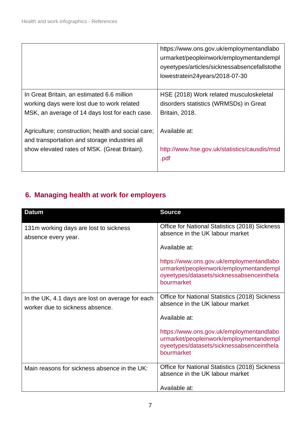|                                                                                                     | https://www.ons.gov.uk/employmentandlabo<br>urmarket/peopleinwork/employmentandempl<br>oyeetypes/articles/sicknessabsencefallstothe<br>lowestratein24years/2018-07-30 |
|-----------------------------------------------------------------------------------------------------|-----------------------------------------------------------------------------------------------------------------------------------------------------------------------|
| In Great Britain, an estimated 6.6 million                                                          | HSE (2018) Work related musculoskeletal                                                                                                                               |
| working days were lost due to work related                                                          | disorders statistics (WRMSDs) in Great                                                                                                                                |
| MSK, an average of 14 days lost for each case.                                                      | <b>Britain, 2018.</b>                                                                                                                                                 |
| Agriculture; construction; health and social care;<br>and transportation and storage industries all | Available at:                                                                                                                                                         |
| show elevated rates of MSK. (Great Britain).                                                        | http://www.hse.gov.uk/statistics/causdis/msd<br>.pdf                                                                                                                  |

# **6. Managing health at work for employers**

| <b>Datum</b>                                                                        | <b>Source</b>                                                                                                                                  |
|-------------------------------------------------------------------------------------|------------------------------------------------------------------------------------------------------------------------------------------------|
| 131m working days are lost to sickness<br>absence every year.                       | Office for National Statistics (2018) Sickness<br>absence in the UK labour market                                                              |
|                                                                                     | Available at:                                                                                                                                  |
|                                                                                     | https://www.ons.gov.uk/employmentandlabo<br>urmarket/peopleinwork/employmentandempl<br>oyeetypes/datasets/sicknessabsenceinthela<br>bourmarket |
| In the UK, 4.1 days are lost on average for each<br>worker due to sickness absence. | Office for National Statistics (2018) Sickness<br>absence in the UK labour market                                                              |
|                                                                                     | Available at:                                                                                                                                  |
|                                                                                     | https://www.ons.gov.uk/employmentandlabo<br>urmarket/peopleinwork/employmentandempl<br>oyeetypes/datasets/sicknessabsenceinthela<br>bourmarket |
| Main reasons for sickness absence in the UK:                                        | Office for National Statistics (2018) Sickness<br>absence in the UK labour market                                                              |
|                                                                                     | Available at:                                                                                                                                  |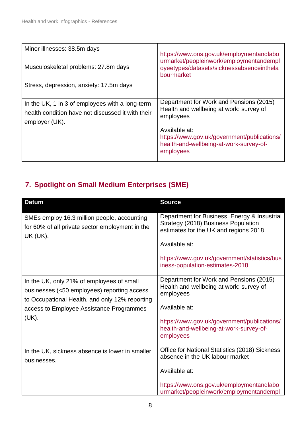| Minor illnesses: 38.5m days<br>Musculoskeletal problems: 27.8m days<br>Stress, depression, anxiety: 17.5m days         | https://www.ons.gov.uk/employmentandlabo<br>urmarket/peopleinwork/employmentandempl<br>oyeetypes/datasets/sicknessabsenceinthela<br>bourmarket                                                                          |
|------------------------------------------------------------------------------------------------------------------------|-------------------------------------------------------------------------------------------------------------------------------------------------------------------------------------------------------------------------|
| In the UK, 1 in 3 of employees with a long-term<br>health condition have not discussed it with their<br>employer (UK). | Department for Work and Pensions (2015)<br>Health and wellbeing at work: survey of<br>employees<br>Available at:<br>https://www.gov.uk/government/publications/<br>health-and-wellbeing-at-work-survey-of-<br>employees |

### **7. Spotlight on Small Medium Enterprises (SME)**

| <b>Datum</b>                                                                                                                               | <b>Source</b>                                                                                                                |
|--------------------------------------------------------------------------------------------------------------------------------------------|------------------------------------------------------------------------------------------------------------------------------|
| SMEs employ 16.3 million people, accounting<br>for 60% of all private sector employment in the<br><b>UK (UK).</b>                          | Department for Business, Energy & Insustrial<br>Strategy (2018) Business Population<br>estimates for the UK and regions 2018 |
|                                                                                                                                            | Available at:                                                                                                                |
|                                                                                                                                            | https://www.gov.uk/government/statistics/bus<br>iness-population-estimates-2018                                              |
| In the UK, only 21% of employees of small<br>businesses (<50 employees) reporting access<br>to Occupational Health, and only 12% reporting | Department for Work and Pensions (2015)<br>Health and wellbeing at work: survey of<br>employees                              |
| access to Employee Assistance Programmes                                                                                                   | Available at:                                                                                                                |
| (UK).                                                                                                                                      | https://www.gov.uk/government/publications/<br>health-and-wellbeing-at-work-survey-of-<br>employees                          |
| In the UK, sickness absence is lower in smaller<br>businesses.                                                                             | Office for National Statistics (2018) Sickness<br>absence in the UK labour market                                            |
|                                                                                                                                            | Available at:                                                                                                                |
|                                                                                                                                            | https://www.ons.gov.uk/employmentandlabo<br>urmarket/peopleinwork/employmentandempl                                          |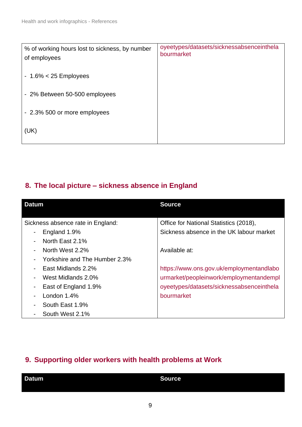| % of working hours lost to sickness, by number<br>of employees | oyeetypes/datasets/sicknessabsenceinthela<br>bourmarket |
|----------------------------------------------------------------|---------------------------------------------------------|
| $-1.6\% < 25$ Employees                                        |                                                         |
| - 2% Between 50-500 employees                                  |                                                         |
| - 2.3% 500 or more employees                                   |                                                         |
| (UK)                                                           |                                                         |

#### **8. The local picture – sickness absence in England**

| <b>Datum</b>                                              | <b>Source</b>                             |
|-----------------------------------------------------------|-------------------------------------------|
|                                                           |                                           |
| Sickness absence rate in England:                         | Office for National Statistics (2018),    |
| England 1.9%<br>$\blacksquare$                            | Sickness absence in the UK labour market  |
| North East 2.1%<br>$\blacksquare$                         |                                           |
| North West 2.2%<br>$\qquad \qquad \blacksquare$           | Available at:                             |
| Yorkshire and The Humber 2.3%<br>$\overline{\phantom{0}}$ |                                           |
| East Midlands 2.2%<br>$\blacksquare$                      | https://www.ons.gov.uk/employmentandlabo  |
| West Midlands 2.0%<br>$\overline{\phantom{0}}$            | urmarket/peopleinwork/employmentandempl   |
| East of England 1.9%<br>$\blacksquare$                    | oyeetypes/datasets/sicknessabsenceinthela |
| London $1.4\%$<br>$\blacksquare$                          | bourmarket                                |
| South East 1.9%<br>$\blacksquare$                         |                                           |
| South West 2.1%<br>$\blacksquare$                         |                                           |

#### **9. Supporting older workers with health problems at Work**

| Datum | <b>Source</b> |
|-------|---------------|
|       |               |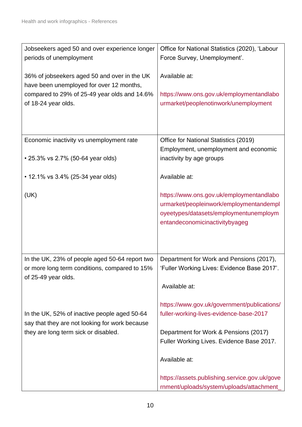| Jobseekers aged 50 and over experience longer<br>periods of unemployment                       | Office for National Statistics (2020), 'Labour<br>Force Survey, Unemployment'.             |
|------------------------------------------------------------------------------------------------|--------------------------------------------------------------------------------------------|
| 36% of jobseekers aged 50 and over in the UK<br>have been unemployed for over 12 months,       | Available at:                                                                              |
| compared to 29% of 25-49 year olds and 14.6%                                                   | https://www.ons.gov.uk/employmentandlabo                                                   |
| of 18-24 year olds.                                                                            | urmarket/peoplenotinwork/unemployment                                                      |
|                                                                                                |                                                                                            |
| Economic inactivity vs unemployment rate                                                       | Office for National Statistics (2019)<br>Employment, unemployment and economic             |
| • 25.3% vs 2.7% (50-64 year olds)                                                              | inactivity by age groups                                                                   |
| • 12.1% vs 3.4% (25-34 year olds)                                                              | Available at:                                                                              |
| (UK)                                                                                           | https://www.ons.gov.uk/employmentandlabo                                                   |
|                                                                                                | urmarket/peopleinwork/employmentandempl<br>oyeetypes/datasets/employmentunemploym          |
|                                                                                                | entandeconomicinactivitybyageg                                                             |
|                                                                                                |                                                                                            |
| In the UK, 23% of people aged 50-64 report two                                                 | Department for Work and Pensions (2017),                                                   |
| or more long term conditions, compared to 15%<br>of 25-49 year olds.                           | 'Fuller Working Lives: Evidence Base 2017'                                                 |
|                                                                                                | Available at:                                                                              |
|                                                                                                | https://www.gov.uk/government/publications/                                                |
| In the UK, 52% of inactive people aged 50-64<br>say that they are not looking for work because | fuller-working-lives-evidence-base-2017                                                    |
| they are long term sick or disabled.                                                           | Department for Work & Pensions (2017)<br>Fuller Working Lives. Evidence Base 2017.         |
|                                                                                                |                                                                                            |
|                                                                                                | Available at:                                                                              |
|                                                                                                | https://assets.publishing.service.gov.uk/gove<br>rnment/uploads/system/uploads/attachment_ |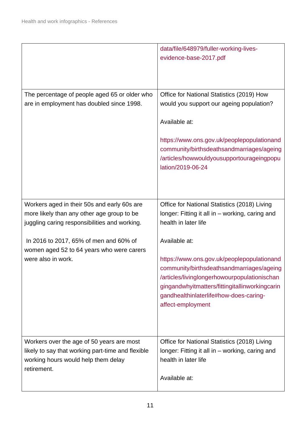|                                                                                                                                                      | data/file/648979/fuller-working-lives-<br>evidence-base-2017.pdf                                                                                                                                                                                                          |
|------------------------------------------------------------------------------------------------------------------------------------------------------|---------------------------------------------------------------------------------------------------------------------------------------------------------------------------------------------------------------------------------------------------------------------------|
| The percentage of people aged 65 or older who<br>are in employment has doubled since 1998.                                                           | Office for National Statistics (2019) How<br>would you support our ageing population?<br>Available at:<br>https://www.ons.gov.uk/peoplepopulationand<br>community/birthsdeathsandmarriages/ageing<br>/articles/howwouldyousupportourageingpopu<br>lation/2019-06-24       |
| Workers aged in their 50s and early 60s are<br>more likely than any other age group to be<br>juggling caring responsibilities and working.           | Office for National Statistics (2018) Living<br>longer: Fitting it all in - working, caring and<br>health in later life                                                                                                                                                   |
| In 2016 to 2017, 65% of men and 60% of<br>women aged 52 to 64 years who were carers<br>were also in work.                                            | Available at:<br>https://www.ons.gov.uk/peoplepopulationand<br>community/birthsdeathsandmarriages/ageing<br>/articles/livinglongerhowourpopulationischan<br>gingandwhyitmatters/fittingitallinworkingcarin<br>gandhealthinlaterlife#how-does-caring-<br>affect-employment |
| Workers over the age of 50 years are most<br>likely to say that working part-time and flexible<br>working hours would help them delay<br>retirement. | Office for National Statistics (2018) Living<br>longer: Fitting it all in - working, caring and<br>health in later life<br>Available at:                                                                                                                                  |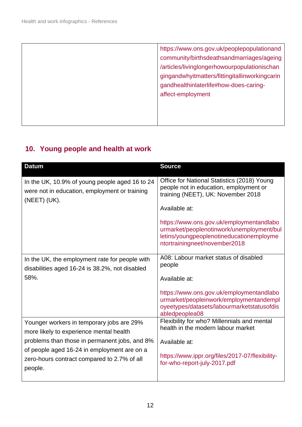| https://www.ons.gov.uk/peoplepopulationand     |
|------------------------------------------------|
| community/birthsdeathsandmarriages/ageing      |
| /articles/livinglongerhowourpopulationischan   |
| gingandwhyitmatters/fittingitallinworkingcarin |
| gandhealthinlaterlife#how-does-caring-         |
| affect-employment                              |
|                                                |
|                                                |
|                                                |

# **10. Young people and health at work**

| <b>Datum</b>                                                                                                         | <b>Source</b>                                                                                                                                                      |
|----------------------------------------------------------------------------------------------------------------------|--------------------------------------------------------------------------------------------------------------------------------------------------------------------|
| In the UK, 10.9% of young people aged 16 to 24<br>were not in education, employment or training<br>$(NEET)$ $(UK)$ . | Office for National Statistics (2018) Young<br>people not in education, employment or<br>training (NEET), UK: November 2018                                        |
|                                                                                                                      | Available at:                                                                                                                                                      |
|                                                                                                                      | https://www.ons.gov.uk/employmentandlabo<br>urmarket/peoplenotinwork/unemployment/bul<br>letins/youngpeoplenotineducationemployme<br>ntortrainingneet/november2018 |
| In the UK, the employment rate for people with<br>disabilities aged 16-24 is 38.2%, not disabled                     | A08: Labour market status of disabled<br>people                                                                                                                    |
| 58%.                                                                                                                 | Available at:                                                                                                                                                      |
|                                                                                                                      | https://www.ons.gov.uk/employmentandlabo<br>urmarket/peopleinwork/employmentandempl<br>oyeetypes/datasets/labourmarketstatusofdis<br>abledpeoplea08                |
| Younger workers in temporary jobs are 29%<br>more likely to experience mental health                                 | Flexibility for who? Millennials and mental<br>health in the modern labour market                                                                                  |
| problems than those in permanent jobs, and 8%                                                                        | Available at:                                                                                                                                                      |
| of people aged 16-24 in employment are on a<br>zero-hours contract compared to 2.7% of all<br>people.                | https://www.ippr.org/files/2017-07/flexibility-<br>for-who-report-july-2017.pdf                                                                                    |
|                                                                                                                      |                                                                                                                                                                    |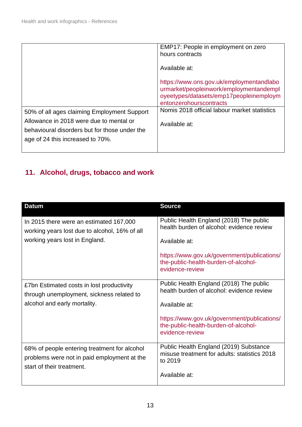|                                                                                          | EMP17: People in employment on zero<br>hours contracts                                                                                                    |
|------------------------------------------------------------------------------------------|-----------------------------------------------------------------------------------------------------------------------------------------------------------|
|                                                                                          | Available at:                                                                                                                                             |
|                                                                                          | https://www.ons.gov.uk/employmentandlabo<br>urmarket/peopleinwork/employmentandempl<br>oyeetypes/datasets/emp17peopleinemploym<br>entonzerohourscontracts |
| 50% of all ages claiming Employment Support                                              | Nomis 2018 official labour market statistics                                                                                                              |
| Allowance in 2018 were due to mental or<br>behavioural disorders but for those under the | Available at:                                                                                                                                             |
| age of 24 this increased to 70%.                                                         |                                                                                                                                                           |
|                                                                                          |                                                                                                                                                           |

#### **11. Alcohol, drugs, tobacco and work**

| <b>Datum</b>                                                                                                             | <b>Source</b>                                                                                          |
|--------------------------------------------------------------------------------------------------------------------------|--------------------------------------------------------------------------------------------------------|
| In 2015 there were an estimated 167,000<br>working years lost due to alcohol, 16% of all                                 | Public Health England (2018) The public<br>health burden of alcohol: evidence review                   |
| working years lost in England.                                                                                           | Available at:                                                                                          |
|                                                                                                                          | https://www.gov.uk/government/publications/<br>the-public-health-burden-of-alcohol-<br>evidence-review |
| £7bn Estimated costs in lost productivity<br>through unemployment, sickness related to                                   | Public Health England (2018) The public<br>health burden of alcohol: evidence review                   |
| alcohol and early mortality.                                                                                             | Available at:                                                                                          |
|                                                                                                                          | https://www.gov.uk/government/publications/<br>the-public-health-burden-of-alcohol-<br>evidence-review |
| 68% of people entering treatment for alcohol<br>problems were not in paid employment at the<br>start of their treatment. | Public Health England (2019) Substance<br>misuse treatment for adults: statistics 2018<br>to 2019      |
|                                                                                                                          | Available at:                                                                                          |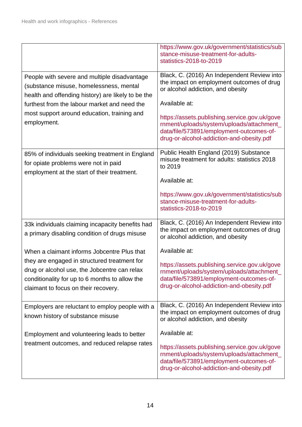|                                                                                                                                                                                        | https://www.gov.uk/government/statistics/sub<br>stance-misuse-treatment-for-adults-<br>statistics-2018-to-2019                                                                      |
|----------------------------------------------------------------------------------------------------------------------------------------------------------------------------------------|-------------------------------------------------------------------------------------------------------------------------------------------------------------------------------------|
| People with severe and multiple disadvantage<br>(substance misuse, homelessness, mental<br>health and offending history) are likely to be the                                          | Black, C. (2016) An Independent Review into<br>the impact on employment outcomes of drug<br>or alcohol addiction, and obesity                                                       |
| furthest from the labour market and need the                                                                                                                                           | Available at:                                                                                                                                                                       |
| most support around education, training and<br>employment.                                                                                                                             | https://assets.publishing.service.gov.uk/gove<br>rnment/uploads/system/uploads/attachment_<br>data/file/573891/employment-outcomes-of-<br>drug-or-alcohol-addiction-and-obesity.pdf |
| 85% of individuals seeking treatment in England<br>for opiate problems were not in paid<br>employment at the start of their treatment.                                                 | Public Health England (2019) Substance<br>misuse treatment for adults: statistics 2018<br>to 2019                                                                                   |
|                                                                                                                                                                                        | Available at:                                                                                                                                                                       |
|                                                                                                                                                                                        | https://www.gov.uk/government/statistics/sub<br>stance-misuse-treatment-for-adults-<br>statistics-2018-to-2019                                                                      |
| 33k individuals claiming incapacity benefits had<br>a primary disabling condition of drugs misuse                                                                                      | Black, C. (2016) An Independent Review into<br>the impact on employment outcomes of drug<br>or alcohol addiction, and obesity                                                       |
| When a claimant informs Jobcentre Plus that                                                                                                                                            | Available at:                                                                                                                                                                       |
| they are engaged in structured treatment for<br>drug or alcohol use, the Jobcentre can relax<br>conditionality for up to 6 months to allow the<br>claimant to focus on their recovery. | https://assets.publishing.service.gov.uk/gove<br>rnment/uploads/system/uploads/attachment<br>data/file/573891/employment-outcomes-of-<br>drug-or-alcohol-addiction-and-obesity.pdf  |
| Employers are reluctant to employ people with a<br>known history of substance misuse                                                                                                   | Black, C. (2016) An Independent Review into<br>the impact on employment outcomes of drug<br>or alcohol addiction, and obesity                                                       |
| Employment and volunteering leads to better                                                                                                                                            | Available at:                                                                                                                                                                       |
| treatment outcomes, and reduced relapse rates                                                                                                                                          | https://assets.publishing.service.gov.uk/gove<br>rnment/uploads/system/uploads/attachment_<br>data/file/573891/employment-outcomes-of-<br>drug-or-alcohol-addiction-and-obesity.pdf |